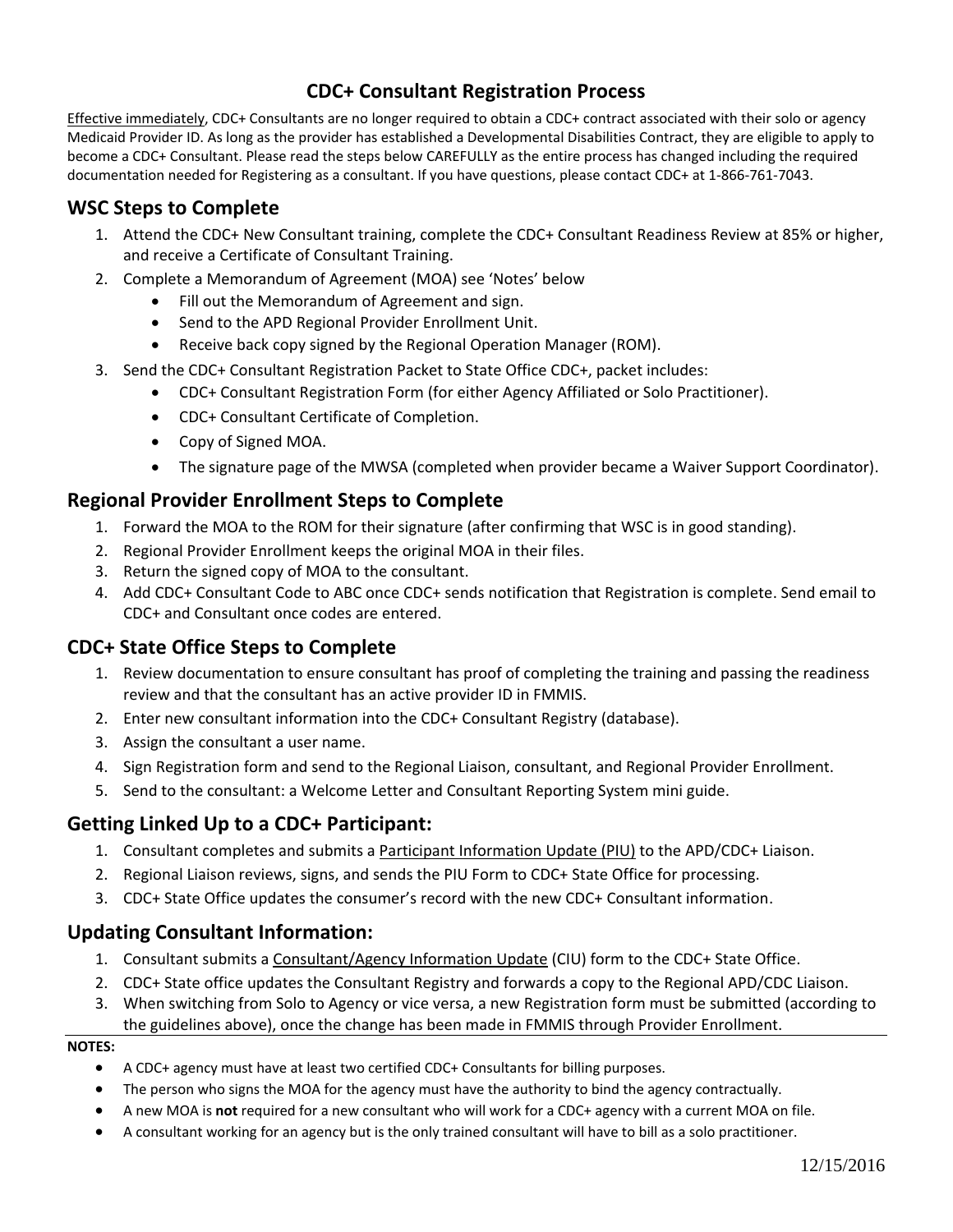# **CDC+ Consultant Registration Process**

Effective immediately, CDC+ Consultants are no longer required to obtain a CDC+ contract associated with their solo or agency Medicaid Provider ID. As long as the provider has established a Developmental Disabilities Contract, they are eligible to apply to become a CDC+ Consultant. Please read the steps below CAREFULLY as the entire process has changed including the required documentation needed for Registering as a consultant. If you have questions, please contact CDC+ at 1-866-761-7043.

## **WSC Steps to Complete**

- 1. Attend the CDC+ New Consultant training, complete the CDC+ Consultant Readiness Review at 85% or higher, and receive a Certificate of Consultant Training.
- 2. Complete a Memorandum of Agreement (MOA) see 'Notes' below
	- Fill out the Memorandum of Agreement and sign.
	- Send to the APD Regional Provider Enrollment Unit.
	- Receive back copy signed by the Regional Operation Manager (ROM).
- 3. Send the CDC+ Consultant Registration Packet to State Office CDC+, packet includes:
	- CDC+ Consultant Registration Form (for either Agency Affiliated or Solo Practitioner).
	- CDC+ Consultant Certificate of Completion.
	- Copy of Signed MOA.
	- The signature page of the MWSA (completed when provider became a Waiver Support Coordinator).

## **Regional Provider Enrollment Steps to Complete**

- 1. Forward the MOA to the ROM for their signature (after confirming that WSC is in good standing).
- 2. Regional Provider Enrollment keeps the original MOA in their files.
- 3. Return the signed copy of MOA to the consultant.
- 4. Add CDC+ Consultant Code to ABC once CDC+ sends notification that Registration is complete. Send email to CDC+ and Consultant once codes are entered.

## **CDC+ State Office Steps to Complete**

- 1. Review documentation to ensure consultant has proof of completing the training and passing the readiness review and that the consultant has an active provider ID in FMMIS.
- 2. Enter new consultant information into the CDC+ Consultant Registry (database).
- 3. Assign the consultant a user name.
- 4. Sign Registration form and send to the Regional Liaison, consultant, and Regional Provider Enrollment.
- 5. Send to the consultant: a Welcome Letter and Consultant Reporting System mini guide.

### **Getting Linked Up to a CDC+ Participant:**

- 1. Consultant completes and submits a Participant Information Update (PIU) to the APD/CDC+ Liaison.
- 2. Regional Liaison reviews, signs, and sends the PIU Form to CDC+ State Office for processing.
- 3. CDC+ State Office updates the consumer's record with the new CDC+ Consultant information.

### **Updating Consultant Information:**

- 1. Consultant submits a Consultant/Agency Information Update (CIU) form to the CDC+ State Office.
- 2. CDC+ State office updates the Consultant Registry and forwards a copy to the Regional APD/CDC Liaison.
- 3. When switching from Solo to Agency or vice versa, a new Registration form must be submitted (according to the guidelines above), once the change has been made in FMMIS through Provider Enrollment.

#### **NOTES:**

- A CDC+ agency must have at least two certified CDC+ Consultants for billing purposes.
- The person who signs the MOA for the agency must have the authority to bind the agency contractually.
- A new MOA is **not** required for a new consultant who will work for a CDC+ agency with a current MOA on file.
- A consultant working for an agency but is the only trained consultant will have to bill as a solo practitioner.